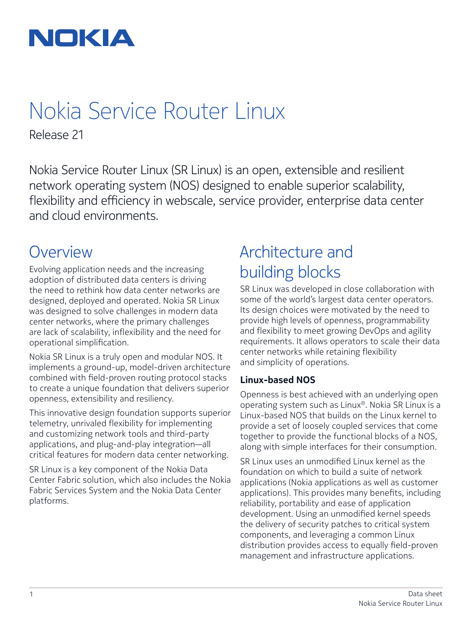

## Nokia Service Router Linux

Release 21

Nokia Service Router Linux (SR Linux) is an open, extensible and resilient network operating system (NOS) designed to enable superior scalability, flexibility and efficiency in webscale, service provider, enterprise data center and cloud environments.

### **Overview**

Evolving application needs and the increasing adoption of distributed data centers is driving the need to rethink how data center networks are designed, deployed and operated. Nokia SR Linux was designed to solve challenges in modern data center networks, where the primary challenges are lack of scalability, inflexibility and the need for operational simplification.

Nokia SR Linux is a truly open and modular NOS. It implements a ground-up, model-driven architecture combined with field-proven routing protocol stacks to create a unique foundation that delivers superior openness, extensibility and resiliency.

This innovative design foundation supports superior telemetry, unrivaled flexibility for implementing and customizing network tools and third-party applications, and plug-and-play integration—all critical features for modern data center networking.

SR Linux is a key component of the Nokia Data Center Fabric solution, which also includes the Nokia Fabric Services System and the Nokia Data Center platforms.

### Architecture and building blocks

SR Linux was developed in close collaboration with some of the world's largest data center operators. Its design choices were motivated by the need to provide high levels of openness, programmability and flexibility to meet growing DevOps and agility requirements. It allows operators to scale their data center networks while retaining flexibility and simplicity of operations.

### **Linux-based NOS**

Openness is best achieved with an underlying open operating system such as Linux®. Nokia SR Linux is a Linux-based NOS that builds on the Linux kernel to provide a set of loosely coupled services that come together to provide the functional blocks of a NOS, along with simple interfaces for their consumption.

SR Linux uses an unmodified Linux kernel as the foundation on which to build a suite of network applications (Nokia applications as well as customer applications). This provides many benefits, including reliability, portability and ease of application development. Using an unmodified kernel speeds the delivery of security patches to critical system components, and leveraging a common Linux distribution provides access to equally field-proven management and infrastructure applications.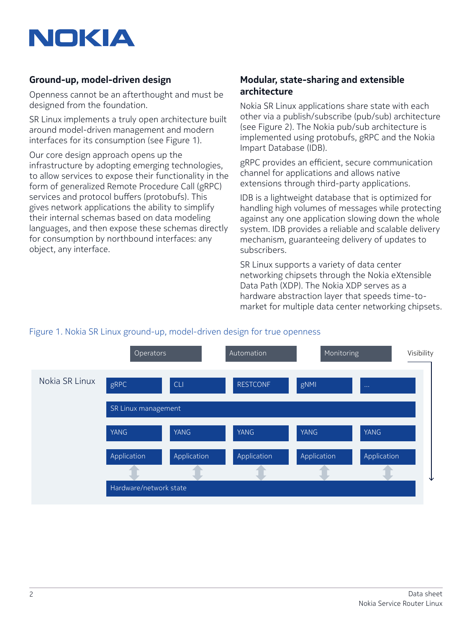

### **Ground-up, model-driven design**

Openness cannot be an afterthought and must be designed from the foundation.

SR Linux implements a truly open architecture built around model-driven management and modern interfaces for its consumption (see Figure 1).

Our core design approach opens up the infrastructure by adopting emerging technologies, to allow services to expose their functionality in the form of generalized Remote Procedure Call (gRPC) services and protocol buffers (protobufs). This gives network applications the ability to simplify their internal schemas based on data modeling languages, and then expose these schemas directly for consumption by northbound interfaces: any object, any interface.

### **Modular, state-sharing and extensible architecture**

Nokia SR Linux applications share state with each other via a publish/subscribe (pub/sub) architecture (see Figure 2). The Nokia pub/sub architecture is implemented using protobufs, gRPC and the Nokia Impart Database (IDB).

gRPC provides an efficient, secure communication channel for applications and allows native extensions through third-party applications.

IDB is a lightweight database that is optimized for handling high volumes of messages while protecting against any one application slowing down the whole system. IDB provides a reliable and scalable delivery mechanism, guaranteeing delivery of updates to subscribers.

SR Linux supports a variety of data center networking chipsets through the Nokia eXtensible Data Path (XDP). The Nokia XDP serves as a hardware abstraction layer that speeds time-tomarket for multiple data center networking chipsets.



### Figure 1. Nokia SR Linux ground-up, model-driven design for true openness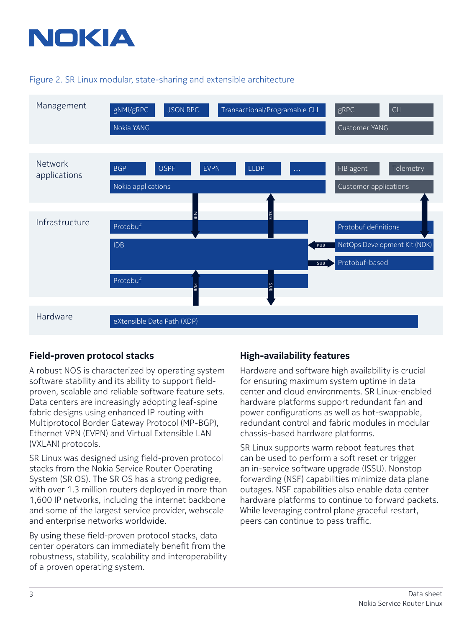

#### Figure 2. SR Linux modular, state-sharing and extensible architecture



### **Field-proven protocol stacks**

A robust NOS is characterized by operating system software stability and its ability to support fieldproven, scalable and reliable software feature sets. Data centers are increasingly adopting leaf-spine fabric designs using enhanced IP routing with Multiprotocol Border Gateway Protocol (MP-BGP), Ethernet VPN (EVPN) and Virtual Extensible LAN (VXLAN) protocols.

SR Linux was designed using field-proven protocol stacks from the Nokia Service Router Operating System (SR OS). The SR OS has a strong pedigree, with over 1.3 million routers deployed in more than 1,600 IP networks, including the internet backbone and some of the largest service provider, webscale and enterprise networks worldwide.

By using these field-proven protocol stacks, data center operators can immediately benefit from the robustness, stability, scalability and interoperability of a proven operating system.

### **High-availability features**

Hardware and software high availability is crucial for ensuring maximum system uptime in data center and cloud environments. SR Linux-enabled hardware platforms support redundant fan and power configurations as well as hot-swappable, redundant control and fabric modules in modular chassis-based hardware platforms.

SR Linux supports warm reboot features that can be used to perform a soft reset or trigger an in-service software upgrade (ISSU). Nonstop forwarding (NSF) capabilities minimize data plane outages. NSF capabilities also enable data center hardware platforms to continue to forward packets. While leveraging control plane graceful restart, peers can continue to pass traffic.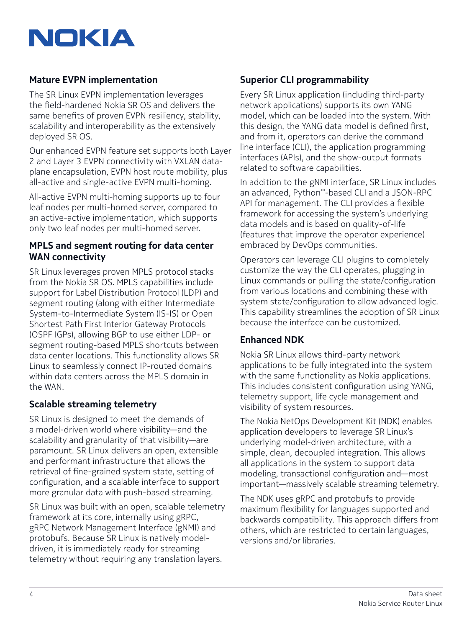

### **Mature EVPN implementation**

The SR Linux EVPN implementation leverages the field-hardened Nokia SR OS and delivers the same benefits of proven EVPN resiliency, stability, scalability and interoperability as the extensively deployed SR OS.

Our enhanced EVPN feature set supports both Layer 2 and Layer 3 EVPN connectivity with VXLAN dataplane encapsulation, EVPN host route mobility, plus all-active and single-active EVPN multi-homing.

All-active EVPN multi-homing supports up to four leaf nodes per multi-homed server, compared to an active-active implementation, which supports only two leaf nodes per multi-homed server.

### **MPLS and segment routing for data center WAN connectivity**

SR Linux leverages proven MPLS protocol stacks from the Nokia SR OS. MPLS capabilities include support for Label Distribution Protocol (LDP) and segment routing (along with either Intermediate System-to-Intermediate System (IS-IS) or Open Shortest Path First Interior Gateway Protocols (OSPF IGPs), allowing BGP to use either LDP- or segment routing-based MPLS shortcuts between data center locations. This functionality allows SR Linux to seamlessly connect IP-routed domains within data centers across the MPLS domain in the WAN.

### **Scalable streaming telemetry**

SR Linux is designed to meet the demands of a model-driven world where visibility—and the scalability and granularity of that visibility—are paramount. SR Linux delivers an open, extensible and performant infrastructure that allows the retrieval of fine-grained system state, setting of configuration, and a scalable interface to support more granular data with push-based streaming.

SR Linux was built with an open, scalable telemetry framework at its core, internally using gRPC, gRPC Network Management Interface (gNMI) and protobufs. Because SR Linux is natively modeldriven, it is immediately ready for streaming telemetry without requiring any translation layers.

### **Superior CLI programmability**

Every SR Linux application (including third-party network applications) supports its own YANG model, which can be loaded into the system. With this design, the YANG data model is defined first, and from it, operators can derive the command line interface (CLI), the application programming interfaces (APIs), and the show-output formats related to software capabilities.

In addition to the gNMI interface, SR Linux includes an advanced, Python™-based CLI and a JSON-RPC API for management. The CLI provides a flexible framework for accessing the system's underlying data models and is based on quality-of-life (features that improve the operator experience) embraced by DevOps communities.

Operators can leverage CLI plugins to completely customize the way the CLI operates, plugging in Linux commands or pulling the state/configuration from various locations and combining these with system state/configuration to allow advanced logic. This capability streamlines the adoption of SR Linux because the interface can be customized.

### **Enhanced NDK**

Nokia SR Linux allows third-party network applications to be fully integrated into the system with the same functionality as Nokia applications. This includes consistent configuration using YANG, telemetry support, life cycle management and visibility of system resources.

The Nokia NetOps Development Kit (NDK) enables application developers to leverage SR Linux's underlying model-driven architecture, with a simple, clean, decoupled integration. This allows all applications in the system to support data modeling, transactional configuration and—most important—massively scalable streaming telemetry.

The NDK uses gRPC and protobufs to provide maximum flexibility for languages supported and backwards compatibility. This approach differs from others, which are restricted to certain languages, versions and/or libraries.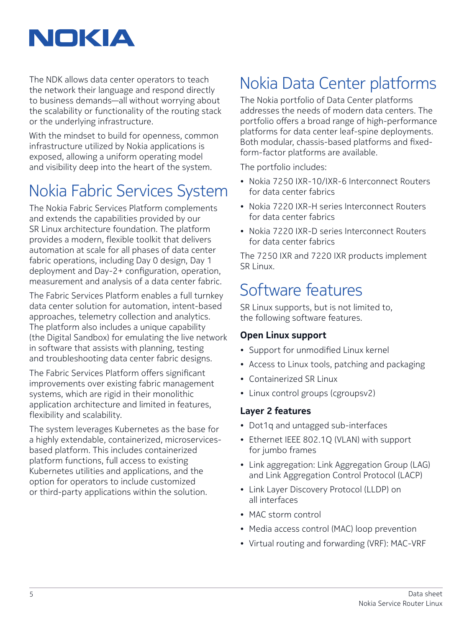

The NDK allows data center operators to teach the network their language and respond directly to business demands—all without worrying about the scalability or functionality of the routing stack or the underlying infrastructure.

With the mindset to build for openness, common infrastructure utilized by Nokia applications is exposed, allowing a uniform operating model and visibility deep into the heart of the system.

## Nokia Fabric Services System

The Nokia Fabric Services Platform complements and extends the capabilities provided by our SR Linux architecture foundation. The platform provides a modern, flexible toolkit that delivers automation at scale for all phases of data center fabric operations, including Day 0 design, Day 1 deployment and Day-2+ configuration, operation, measurement and analysis of a data center fabric.

The Fabric Services Platform enables a full turnkey data center solution for automation, intent-based approaches, telemetry collection and analytics. The platform also includes a unique capability (the Digital Sandbox) for emulating the live network in software that assists with planning, testing and troubleshooting data center fabric designs.

The Fabric Services Platform offers significant improvements over existing fabric management systems, which are rigid in their monolithic application architecture and limited in features, flexibility and scalability.

The system leverages Kubernetes as the base for a highly extendable, containerized, microservicesbased platform. This includes containerized platform functions, full access to existing Kubernetes utilities and applications, and the option for operators to include customized or third-party applications within the solution.

## Nokia Data Center platforms

The Nokia portfolio of Data Center platforms addresses the needs of modern data centers. The portfolio offers a broad range of high-performance platforms for data center leaf-spine deployments. Both modular, chassis-based platforms and fixedform-factor platforms are available.

The portfolio includes:

- Nokia 7250 IXR-10/IXR-6 Interconnect Routers for data center fabrics
- Nokia 7220 IXR-H series Interconnect Routers for data center fabrics
- Nokia 7220 IXR-D series Interconnect Routers for data center fabrics

The 7250 IXR and 7220 IXR products implement SR Linux.

### Software features

SR Linux supports, but is not limited to, the following software features.

### **Open Linux support**

- Support for unmodified Linux kernel
- Access to Linux tools, patching and packaging
- Containerized SR Linux
- Linux control groups (cgroupsv2)

### **Layer 2 features**

- Dot1q and untagged sub-interfaces
- Ethernet IEEE 802.1Q (VLAN) with support for jumbo frames
- Link aggregation: Link Aggregation Group (LAG) and Link Aggregation Control Protocol (LACP)
- Link Layer Discovery Protocol (LLDP) on all interfaces
- MAC storm control
- Media access control (MAC) loop prevention
- Virtual routing and forwarding (VRF): MAC-VRF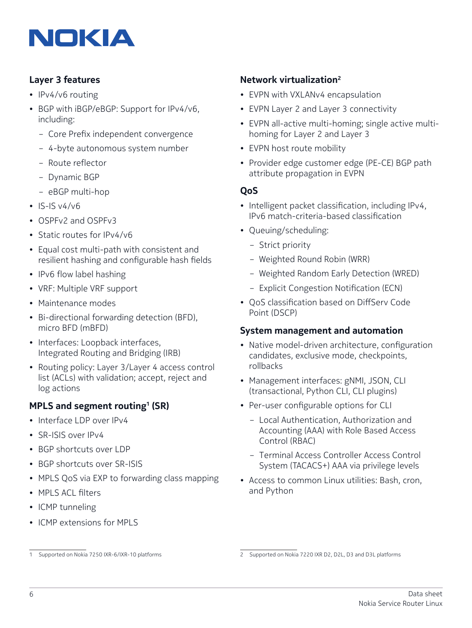

### **Layer 3 features**

- IPv4/v6 routing
- BGP with iBGP/eBGP: Support for IPv4/v6, including:
	- Core Prefix independent convergence
	- 4-byte autonomous system number
	- Route reflector
	- Dynamic BGP
	- eBGP multi-hop
- $•$  IS-IS  $v4/v6$
- OSPFv2 and OSPFv3
- Static routes for IPv4/v6
- Equal cost multi-path with consistent and resilient hashing and configurable hash fields
- IPv6 flow label hashing
- VRF: Multiple VRF support
- Maintenance modes
- Bi-directional forwarding detection (BFD), micro BFD (mBFD)
- Interfaces: Loopback interfaces, Integrated Routing and Bridging (IRB)
- Routing policy: Layer 3/Layer 4 access control list (ACLs) with validation; accept, reject and log actions

### **MPLS and segment routing1 (SR)**

- Interface LDP over IPv4
- SR-ISIS over IPv4
- BGP shortcuts over LDP
- BGP shortcuts over SR-ISIS
- MPLS QoS via EXP to forwarding class mapping
- MPLS ACL filters
- ICMP tunneling
- ICMP extensions for MPLS

### **Network virtualization2**

- EVPN with VXLANv4 encapsulation
- EVPN Layer 2 and Layer 3 connectivity
- EVPN all-active multi-homing; single active multihoming for Layer 2 and Layer 3
- EVPN host route mobility
- Provider edge customer edge (PE-CE) BGP path attribute propagation in EVPN

#### **QoS**

- Intelligent packet classification, including IPv4, IPv6 match-criteria-based classification
- Queuing/scheduling:
	- Strict priority
	- Weighted Round Robin (WRR)
	- Weighted Random Early Detection (WRED)
	- Explicit Congestion Notification (ECN)
- QoS classification based on DiffServ Code Point (DSCP)

#### **System management and automation**

- Native model-driven architecture, configuration candidates, exclusive mode, checkpoints, rollbacks
- Management interfaces: gNMI, JSON, CLI (transactional, Python CLI, CLI plugins)
- Per-user configurable options for CLI
	- Local Authentication, Authorization and Accounting (AAA) with Role Based Access Control (RBAC)
	- Terminal Access Controller Access Control System (TACACS+) AAA via privilege levels
- Access to common Linux utilities: Bash, cron, and Python

<sup>1</sup> Supported on Nokia 7250 IXR-6/IXR-10 platforms

<sup>2</sup> Supported on Nokia 7220 IXR D2, D2L, D3 and D3L platforms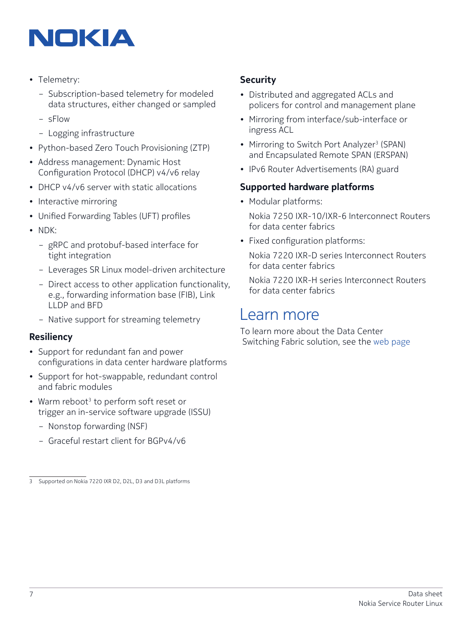# NOKIA

- Telemetry:
	- Subscription-based telemetry for modeled data structures, either changed or sampled
	- sFlow
	- Logging infrastructure
- Python-based Zero Touch Provisioning (ZTP)
- Address management: Dynamic Host Configuration Protocol (DHCP) v4/v6 relay
- DHCP v4/v6 server with static allocations
- Interactive mirroring
- Unified Forwarding Tables (UFT) profiles
- NDK:
	- gRPC and protobuf-based interface for tight integration
	- Leverages SR Linux model-driven architecture
	- Direct access to other application functionality, e.g., forwarding information base (FIB), Link LLDP and BFD
	- Native support for streaming telemetry

### **Resiliency**

- Support for redundant fan and power configurations in data center hardware platforms
- Support for hot-swappable, redundant control and fabric modules
- Warm reboot<sup>3</sup> to perform soft reset or trigger an in-service software upgrade (ISSU)
	- Nonstop forwarding (NSF)
	- Graceful restart client for BGPv4/v6

### **Security**

- Distributed and aggregated ACLs and policers for control and management plane
- Mirroring from interface/sub-interface or ingress ACL
- Mirroring to Switch Port Analyzer<sup>3</sup> (SPAN) and Encapsulated Remote SPAN (ERSPAN)
- IPv6 Router Advertisements (RA) guard

#### **Supported hardware platforms**

• Modular platforms:

Nokia 7250 IXR-10/IXR-6 Interconnect Routers for data center fabrics

• Fixed configuration platforms:

Nokia 7220 IXR-D series Interconnect Routers for data center fabrics

Nokia 7220 IXR-H series Interconnect Routers for data center fabrics

### Learn more

To learn more about the Data Center Switching Fabric solution, see the [web page](https://www.nokia.com/networks/solutions/data-center-switching-fabric/)

<sup>3</sup> Supported on Nokia 7220 IXR D2, D2L, D3 and D3L platforms